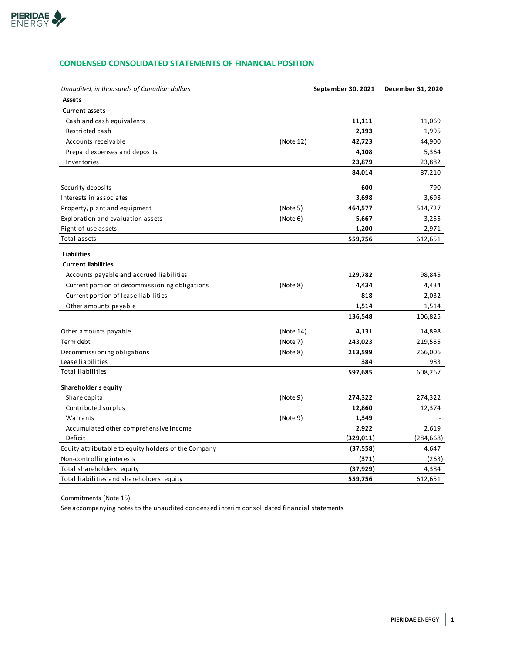

# **CONDENSED CONSOLIDATED STATEMENTS OF FINANCIAL POSITION**

| Unaudited, in thousands of Canadian dollars          |           | September 30, 2021 | December 31, 2020 |
|------------------------------------------------------|-----------|--------------------|-------------------|
| <b>Assets</b>                                        |           |                    |                   |
| <b>Current assets</b>                                |           |                    |                   |
| Cash and cash equivalents                            |           | 11,111             | 11,069            |
| Restricted cash                                      |           | 2,193              | 1,995             |
| Accounts receivable                                  | (Note 12) | 42,723             | 44,900            |
| Prepaid expenses and deposits                        |           | 4,108              | 5,364             |
| Inventories                                          |           | 23,879             | 23,882            |
|                                                      |           | 84,014             | 87,210            |
| Security deposits                                    |           | 600                | 790               |
| Interests in associates                              |           | 3,698              | 3,698             |
| Property, plant and equipment                        | (Note 5)  | 464,577            | 514,727           |
| Exploration and evaluation assets                    | (Note 6)  | 5,667              | 3,255             |
| Right-of-use assets                                  |           | 1,200              | 2,971             |
| Total assets                                         |           | 559,756            | 612,651           |
| Liabilities                                          |           |                    |                   |
| <b>Current liabilities</b>                           |           |                    |                   |
| Accounts payable and accrued liabilities             |           | 129,782            | 98,845            |
| Current portion of decommissioning obligations       | (Note 8)  | 4,434              | 4,434             |
| Current portion of lease liabilities                 |           | 818                | 2,032             |
| Other amounts payable                                |           | 1,514              | 1,514             |
|                                                      |           | 136,548            | 106,825           |
|                                                      |           |                    |                   |
| Other amounts payable                                | (Note 14) | 4,131              | 14,898            |
| Term debt                                            | (Note 7)  | 243,023            | 219,555           |
| Decommissioning obligations                          | (Note 8)  | 213,599            | 266,006           |
| Lease liabilities                                    |           | 384                | 983               |
| <b>Total liabilities</b>                             |           | 597,685            | 608,267           |
| Shareholder's equity                                 |           |                    |                   |
| Share capital                                        | (Note 9)  | 274,322            | 274,322           |
| Contributed surplus                                  |           | 12,860             | 12,374            |
| Warrants                                             | (Note 9)  | 1,349              |                   |
| Accumulated other comprehensive income               |           | 2,922              | 2,619             |
| Deficit                                              |           | (329, 011)         | (284, 668)        |
| Equity attributable to equity holders of the Company |           | (37, 558)          | 4,647             |
| Non-controlling interests                            |           | (371)              | (263)             |
| Total shareholders' equity                           |           | (37, 929)          | 4,384             |
| Total liabilities and shareholders' equity           |           | 559,756            | 612,651           |

Commitments (Note 15)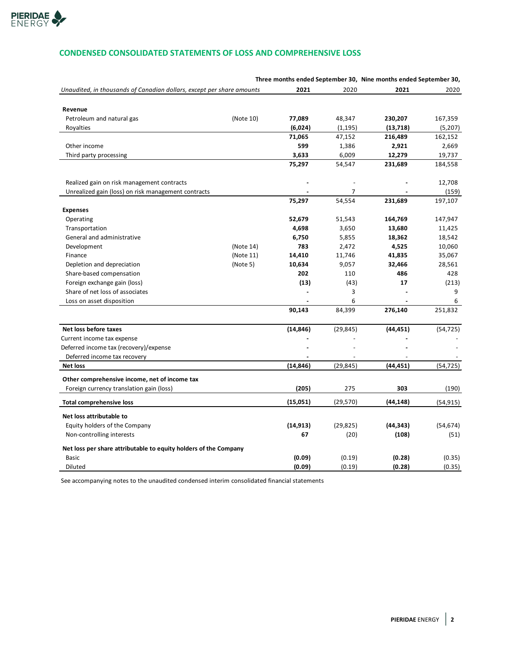

# **CONDENSED CONSOLIDATED STATEMENTS OF LOSS AND COMPREHENSIVE LOSS**

|                                                                       |           |           |           | Three months ended September 30, Nine months ended September 30, |           |
|-----------------------------------------------------------------------|-----------|-----------|-----------|------------------------------------------------------------------|-----------|
| Unaudited, in thousands of Canadian dollars, except per share amounts |           | 2021      | 2020      | 2021                                                             | 2020      |
|                                                                       |           |           |           |                                                                  |           |
| Revenue                                                               |           |           |           |                                                                  |           |
| Petroleum and natural gas                                             | (Note 10) | 77,089    | 48,347    | 230,207                                                          | 167,359   |
| Royalties                                                             |           | (6,024)   | (1, 195)  | (13, 718)                                                        | (5,207)   |
|                                                                       |           | 71,065    | 47,152    | 216,489                                                          | 162,152   |
| Other income                                                          |           | 599       | 1,386     | 2,921                                                            | 2,669     |
| Third party processing                                                |           | 3,633     | 6,009     | 12,279                                                           | 19,737    |
|                                                                       |           | 75,297    | 54,547    | 231,689                                                          | 184,558   |
| Realized gain on risk management contracts                            |           |           |           |                                                                  | 12,708    |
| Unrealized gain (loss) on risk management contracts                   |           |           | 7         |                                                                  | (159)     |
|                                                                       |           | 75,297    | 54,554    | 231,689                                                          | 197,107   |
| <b>Expenses</b>                                                       |           |           |           |                                                                  |           |
| Operating                                                             |           | 52,679    | 51,543    | 164,769                                                          | 147,947   |
| Transportation                                                        |           | 4,698     | 3,650     | 13,680                                                           | 11,425    |
| General and administrative                                            |           | 6,750     | 5,855     | 18,362                                                           | 18,542    |
| Development                                                           | (Note 14) | 783       | 2,472     | 4,525                                                            | 10,060    |
| Finance                                                               | (Note 11) | 14,410    | 11,746    | 41,835                                                           | 35,067    |
| Depletion and depreciation                                            | (Note 5)  | 10,634    | 9,057     | 32,466                                                           | 28,561    |
| Share-based compensation                                              |           | 202       | 110       | 486                                                              | 428       |
| Foreign exchange gain (loss)                                          |           | (13)      | (43)      | 17                                                               | (213)     |
| Share of net loss of associates                                       |           |           | 3         |                                                                  | 9         |
| Loss on asset disposition                                             |           |           | 6         |                                                                  | 6         |
|                                                                       |           | 90,143    | 84,399    | 276,140                                                          | 251,832   |
| Net loss before taxes                                                 |           | (14, 846) | (29, 845) | (44, 451)                                                        | (54, 725) |
| Current income tax expense                                            |           |           |           |                                                                  |           |
| Deferred income tax (recovery)/expense                                |           |           |           |                                                                  |           |
| Deferred income tax recovery                                          |           |           |           |                                                                  |           |
| <b>Net loss</b>                                                       |           | (14, 846) | (29, 845) | (44, 451)                                                        | (54, 725) |
| Other comprehensive income, net of income tax                         |           |           |           |                                                                  |           |
| Foreign currency translation gain (loss)                              |           | (205)     | 275       | 303                                                              | (190)     |
| <b>Total comprehensive loss</b>                                       |           | (15,051)  | (29, 570) | (44, 148)                                                        | (54, 915) |
| Net loss attributable to                                              |           |           |           |                                                                  |           |
| Equity holders of the Company                                         |           | (14, 913) | (29, 825) | (44, 343)                                                        | (54, 674) |
| Non-controlling interests                                             |           | 67        | (20)      | (108)                                                            | (51)      |
| Net loss per share attributable to equity holders of the Company      |           |           |           |                                                                  |           |
| <b>Basic</b>                                                          |           | (0.09)    | (0.19)    | (0.28)                                                           | (0.35)    |
| <b>Diluted</b>                                                        |           | (0.09)    | (0.19)    | (0.28)                                                           | (0.35)    |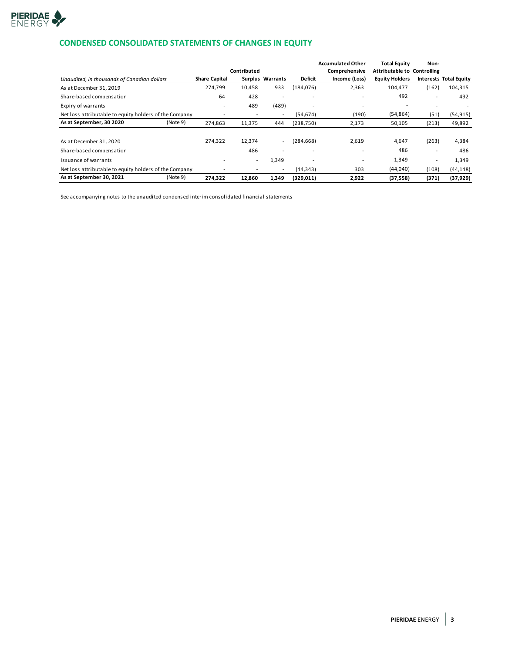

# **CONDENSED CONSOLIDATED STATEMENTS OF CHANGES IN EQUITY**

|                                                        |                      |             |                          |                          | <b>Accumulated Other</b> | <b>Total Equity</b>                | Non-                     |                               |
|--------------------------------------------------------|----------------------|-------------|--------------------------|--------------------------|--------------------------|------------------------------------|--------------------------|-------------------------------|
|                                                        |                      | Contributed |                          |                          | Comprehensive            | <b>Attributable to Controlling</b> |                          |                               |
| Unaudited, in thousands of Canadian dollars            | <b>Share Capital</b> |             | Surplus Warrants         | <b>Deficit</b>           | Income (Loss)            | <b>Equity Holders</b>              |                          | <b>Interests Total Equity</b> |
| As at December 31, 2019                                | 274,799              | 10,458      | 933                      | (184, 076)               | 2,363                    | 104.477                            | (162)                    | 104,315                       |
| Share-based compensation                               | 64                   | 428         | $\overline{\phantom{0}}$ | $\overline{\phantom{0}}$ | $\overline{\phantom{0}}$ | 492                                | $\overline{\phantom{a}}$ | 492                           |
| Expiry of warrants                                     |                      | 489         | (489)                    |                          |                          |                                    |                          |                               |
| Net loss attributable to equity holders of the Company |                      |             | $\overline{\phantom{a}}$ | (54, 674)                | (190)                    | (54, 864)                          | (51)                     | (54, 915)                     |
| As at September, 30 2020<br>(Note 9)                   | 274,863              | 11,375      | 444                      | (238, 750)               | 2,173                    | 50,105                             | (213)                    | 49,892                        |
|                                                        |                      |             |                          |                          |                          |                                    |                          |                               |
| As at December 31, 2020                                | 274,322              | 12,374      | $\overline{\phantom{a}}$ | (284, 668)               | 2,619                    | 4,647                              | (263)                    | 4,384                         |
| Share-based compensation                               |                      | 486         | $\overline{\phantom{0}}$ |                          |                          | 486                                | $\overline{\phantom{a}}$ | 486                           |
| Issuance of warrants                                   |                      | ۰.          | 1,349                    |                          | ۰                        | 1,349                              | ۰                        | 1,349                         |
| Net loss attributable to equity holders of the Company |                      |             | $\overline{\phantom{a}}$ | (44, 343)                | 303                      | (44,040)                           | (108)                    | (44, 148)                     |
| As at September 30, 2021<br>(Note 9)                   | 274,322              | 12,860      | 1,349                    | (329, 011)               | 2,922                    | (37, 558)                          | (371)                    | (37, 929)                     |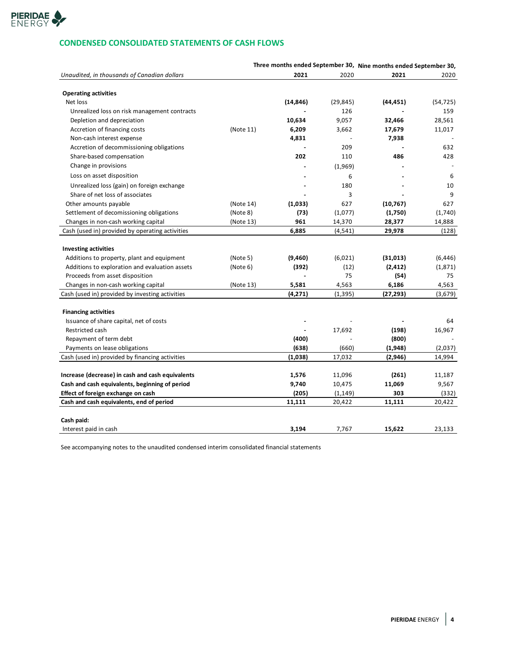

# **CONDENSED CONSOLIDATED STATEMENTS OF CASH FLOWS**

|                                                  |           |           |           | Three months ended September 30, Nine months ended September 30, |           |
|--------------------------------------------------|-----------|-----------|-----------|------------------------------------------------------------------|-----------|
| Unaudited, in thousands of Canadian dollars      |           | 2021      | 2020      | 2021                                                             | 2020      |
|                                                  |           |           |           |                                                                  |           |
| <b>Operating activities</b>                      |           |           |           |                                                                  |           |
| Net loss                                         |           | (14, 846) | (29, 845) | (44, 451)                                                        | (54, 725) |
| Unrealized loss on risk management contracts     |           |           | 126       |                                                                  | 159       |
| Depletion and depreciation                       |           | 10,634    | 9,057     | 32,466                                                           | 28,561    |
| Accretion of financing costs                     | (Note 11) | 6,209     | 3,662     | 17,679                                                           | 11,017    |
| Non-cash interest expense                        |           | 4,831     |           | 7,938                                                            |           |
| Accretion of decommissioning obligations         |           |           | 209       |                                                                  | 632       |
| Share-based compensation                         |           | 202       | 110       | 486                                                              | 428       |
| Change in provisions                             |           |           | (1,969)   |                                                                  |           |
| Loss on asset disposition                        |           |           | 6         |                                                                  | 6         |
| Unrealized loss (gain) on foreign exchange       |           |           | 180       |                                                                  | 10        |
| Share of net loss of associates                  |           |           | 3         |                                                                  | 9         |
| Other amounts payable                            | (Note 14) | (1,033)   | 627       | (10, 767)                                                        | 627       |
| Settlement of decomissioning obligations         | (Note 8)  | (73)      | (1,077)   | (1,750)                                                          | (1,740)   |
| Changes in non-cash working capital              | (Note 13) | 961       | 14,370    | 28,377                                                           | 14,888    |
| Cash (used in) provided by operating activities  |           | 6,885     | (4,541)   | 29,978                                                           | (128)     |
|                                                  |           |           |           |                                                                  |           |
| <b>Investing activities</b>                      |           |           |           |                                                                  |           |
| Additions to property, plant and equipment       | (Note 5)  | (9,460)   | (6,021)   | (31, 013)                                                        | (6, 446)  |
| Additions to exploration and evaluation assets   | (Note 6)  | (392)     | (12)      | (2, 412)                                                         | (1,871)   |
| Proceeds from asset disposition                  |           |           | 75        | (54)                                                             | 75        |
| Changes in non-cash working capital              | (Note 13) | 5,581     | 4,563     | 6,186                                                            | 4,563     |
| Cash (used in) provided by investing activities  |           | (4,271)   | (1,395)   | (27,293)                                                         | (3,679)   |
|                                                  |           |           |           |                                                                  |           |
| <b>Financing activities</b>                      |           |           |           |                                                                  |           |
| Issuance of share capital, net of costs          |           |           |           |                                                                  | 64        |
| Restricted cash                                  |           |           | 17,692    | (198)                                                            | 16,967    |
| Repayment of term debt                           |           | (400)     |           | (800)                                                            |           |
| Payments on lease obligations                    |           | (638)     | (660)     | (1,948)                                                          | (2,037)   |
| Cash (used in) provided by financing activities  |           | (1,038)   | 17,032    | (2,946)                                                          | 14,994    |
|                                                  |           |           |           |                                                                  |           |
| Increase (decrease) in cash and cash equivalents |           | 1,576     | 11,096    | (261)                                                            | 11,187    |
| Cash and cash equivalents, beginning of period   |           | 9,740     | 10,475    | 11,069                                                           | 9,567     |
| Effect of foreign exchange on cash               |           | (205)     | (1, 149)  | 303                                                              | (332)     |
| Cash and cash equivalents, end of period         |           | 11,111    | 20,422    | 11,111                                                           | 20,422    |
|                                                  |           |           |           |                                                                  |           |
| Cash paid:                                       |           |           |           |                                                                  |           |
| Interest paid in cash                            |           | 3.194     | 7.767     | 15.622                                                           | 23.133    |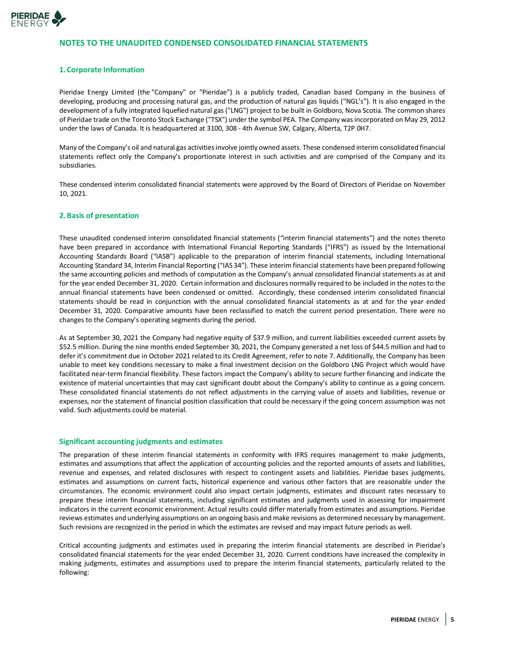

# **NOTES TO THE UNAUDITED CONDENSED CONSOLIDATED FINANCIAL STATEMENTS**

#### **1. Corporate Information**

Pieridae Energy Limited (the "Company" or "Pieridae") is a publicly traded, Canadian based Company in the business of developing, producing and processing natural gas, and the production of natural gas liquids ("NGL's"). It is also engaged in the development of a fully integrated liquefied natural gas ("LNG") project to be built in Goldboro, Nova Scotia. The common shares of Pieridae trade on the Toronto Stock Exchange ("TSX") under the symbol PEA. The Company was incorporated on May 29, 2012 under the laws of Canada. It is headquartered at 3100, 308 - 4th Avenue SW, Calgary, Alberta, T2P 0H7.

Many of the Company's oil and natural gas activities involve jointly owned assets. These condensed interim consolidated financial statements reflect only the Company's proportionate interest in such activities and are comprised of the Company and its subsidiaries.

These condensed interim consolidated financial statements were approved by the Board of Directors of Pieridae on November 10, 2021.

#### **2.Basis of presentation**

These unaudited condensed interim consolidated financial statements ("interim financial statements") and the notes thereto have been prepared in accordance with International Financial Reporting Standards ("IFRS") as issued by the International Accounting Standards Board ("IASB") applicable to the preparation of interim financial statements, including International Accounting Standard 34, Interim Financial Reporting ("IAS 34"). These interim financial statements have been prepared following the same accounting policies and methods of computation as the Company's annual consolidated financial statements as at and for the year ended December 31, 2020. Certain information and disclosures normally required to be included in the notes to the annual financial statements have been condensed or omitted. Accordingly, these condensed interim consolidated financial statements should be read in conjunction with the annual consolidated financial statements as at and for the year ended December 31, 2020. Comparative amounts have been reclassified to match the current period presentation. There were no changes to the Company's operating segments during the period.

As at September 30, 2021 the Company had negative equity of \$37.9 million, and current liabilities exceeded current assets by \$52.5 million. During the nine months ended September 30, 2021, the Company generated a net loss of \$44.5 million and had to defer it's commitment due in October 2021 related to its Credit Agreement, refer to note 7. Additionally, the Company has been unable to meet key conditions necessary to make a final investment decision on the Goldboro LNG Project which would have facilitated near-term financial flexibility. These factors impact the Company's ability to secure further financing and indicate the existence of material uncertainties that may cast significant doubt about the Company's ability to continue as a going concern. These consolidated financial statements do not reflect adjustments in the carrying value of assets and liabilities, revenue or expenses, nor the statement of financial position classification that could be necessary if the going concern assumption was not valid. Such adjustments could be material.

#### **Significant accounting judgments and estimates**

The preparation of these interim financial statements in conformity with IFRS requires management to make judgments, estimates and assumptions that affect the application of accounting policies and the reported amounts of assets and liabilities, revenue and expenses, and related disclosures with respect to contingent assets and liabilities. Pieridae bases judgments, estimates and assumptions on current facts, historical experience and various other factors that are reasonable under the circumstances. The economic environment could also impact certain judgments, estimates and discount rates necessary to prepare these interim financial statements, including significant estimates and judgments used in assessing for impairment indicators in the current economic environment. Actual results could differ materially from estimates and assumptions. Pieridae reviews estimates and underlying assumptions on an ongoing basis and make revisions as determined necessary by management. Such revisions are recognized in the period in which the estimates are revised and may impact future periods as well.

Critical accounting judgments and estimates used in preparing the interim financial statements are described in Pieridae's consolidated financial statements for the year ended December 31, 2020. Current conditions have increased the complexity in making judgments, estimates and assumptions used to prepare the interim financial statements, particularly related to the following: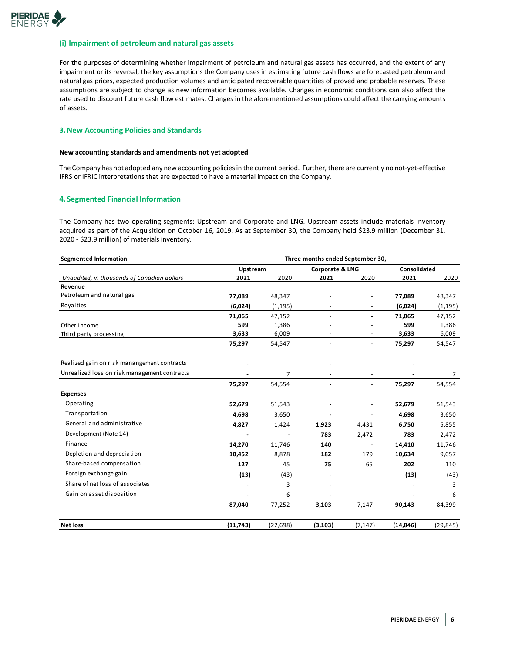

#### **(i) Impairment of petroleum and natural gas assets**

For the purposes of determining whether impairment of petroleum and natural gas assets has occurred, and the extent of any impairment or its reversal, the key assumptions the Company uses in estimating future cash flows are forecasted petroleum and natural gas prices, expected production volumes and anticipated recoverable quantities of proved and probable reserves. These assumptions are subject to change as new information becomes available. Changes in economic conditions can also affect the rate used to discount future cash flow estimates. Changes in the aforementioned assumptions could affect the carrying amounts of assets.

#### **3.New Accounting Policies and Standards**

#### **New accounting standards and amendments not yet adopted**

The Company has not adopted any new accounting policies in the current period. Further, there are currently no not-yet-effective IFRS or IFRIC interpretations that are expected to have a material impact on the Company.

#### **4. Segmented Financial Information**

The Company has two operating segments: Upstream and Corporate and LNG. Upstream assets include materials inventory acquired as part of the Acquisition on October 16, 2019. As at September 30, the Company held \$23.9 million (December 31, 2020 - \$23.9 million) of materials inventory.

| <b>Segmented Information</b>                 | Three months ended September 30, |           |                 |                              |              |                |  |
|----------------------------------------------|----------------------------------|-----------|-----------------|------------------------------|--------------|----------------|--|
|                                              | Upstream                         |           | Corporate & LNG |                              | Consolidated |                |  |
| Unaudited, in thousands of Canadian dollars  | 2021                             | 2020      | 2021            | 2020                         | 2021         | 2020           |  |
| Revenue                                      |                                  |           |                 |                              |              |                |  |
| Petroleum and natural gas                    | 77,089                           | 48,347    |                 |                              | 77,089       | 48,347         |  |
| Royalties                                    | (6,024)                          | (1, 195)  |                 | $\qquad \qquad \blacksquare$ | (6,024)      | (1, 195)       |  |
|                                              | 71,065                           | 47,152    | ٠               | $\blacksquare$               | 71,065       | 47,152         |  |
| Other income                                 | 599                              | 1,386     |                 |                              | 599          | 1,386          |  |
| Third party processing                       | 3,633                            | 6,009     |                 | ٠                            | 3,633        | 6,009          |  |
|                                              | 75,297                           | 54,547    |                 | $\qquad \qquad \blacksquare$ | 75,297       | 54,547         |  |
| Realized gain on risk manangement contracts  |                                  |           |                 |                              |              |                |  |
| Unrealized loss on risk management contracts |                                  | 7         |                 |                              |              | $\overline{7}$ |  |
|                                              | 75,297                           | 54,554    | ä,              | $\blacksquare$               | 75,297       | 54,554         |  |
| <b>Expenses</b>                              |                                  |           |                 |                              |              |                |  |
| Operating                                    | 52,679                           | 51,543    |                 |                              | 52,679       | 51,543         |  |
| Transportation                               | 4,698                            | 3,650     |                 |                              | 4,698        | 3,650          |  |
| General and administrative                   | 4,827                            | 1,424     | 1,923           | 4,431                        | 6,750        | 5,855          |  |
| Development (Note 14)                        | ä,                               |           | 783             | 2,472                        | 783          | 2,472          |  |
| Finance                                      | 14,270                           | 11,746    | 140             |                              | 14,410       | 11,746         |  |
| Depletion and depreciation                   | 10,452                           | 8,878     | 182             | 179                          | 10,634       | 9,057          |  |
| Share-based compensation                     | 127                              | 45        | 75              | 65                           | 202          | 110            |  |
| Foreign exchange gain                        | (13)                             | (43)      |                 |                              | (13)         | (43)           |  |
| Share of net loss of associates              |                                  | 3         |                 |                              |              | 3              |  |
| Gain on asset disposition                    |                                  | 6         |                 |                              |              | 6              |  |
|                                              | 87,040                           | 77,252    | 3,103           | 7,147                        | 90,143       | 84,399         |  |
| <b>Net loss</b>                              | (11, 743)                        | (22, 698) | (3, 103)        | (7, 147)                     | (14, 846)    | (29, 845)      |  |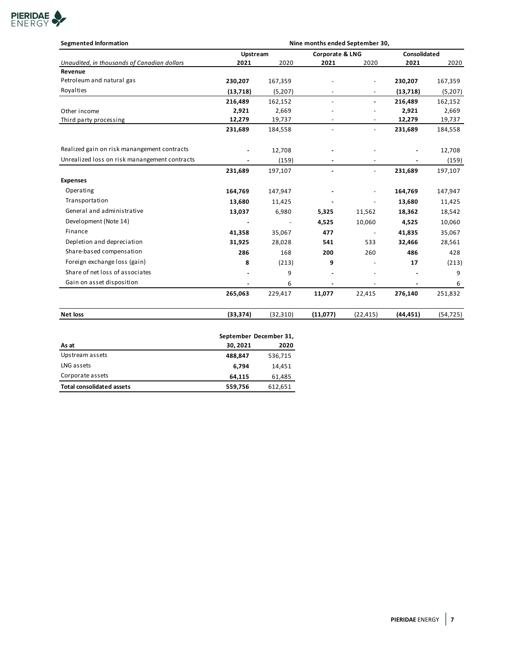

| <b>Segmented Information</b>                  | Nine months ended September 30, |           |                          |                          |           |              |  |
|-----------------------------------------------|---------------------------------|-----------|--------------------------|--------------------------|-----------|--------------|--|
|                                               | Upstream                        |           | Corporate & LNG          |                          |           | Consolidated |  |
| Unaudited, in thousands of Canadian dollars   | 2021                            | 2020      | 2021                     | 2020                     | 2021      | 2020         |  |
| Revenue                                       |                                 |           |                          |                          |           |              |  |
| Petroleum and natural gas                     | 230,207                         | 167,359   |                          |                          | 230,207   | 167,359      |  |
| Royalties                                     | (13, 718)                       | (5,207)   |                          |                          | (13, 718) | (5,207)      |  |
|                                               | 216,489                         | 162,152   |                          |                          | 216,489   | 162,152      |  |
| Other income                                  | 2,921                           | 2,669     |                          |                          | 2,921     | 2,669        |  |
| Third party processing                        | 12,279                          | 19,737    |                          |                          | 12,279    | 19,737       |  |
|                                               | 231,689                         | 184,558   | $\overline{\phantom{a}}$ | $\blacksquare$           | 231,689   | 184,558      |  |
| Realized gain on risk manangement contracts   | $\blacksquare$                  | 12,708    |                          |                          |           | 12,708       |  |
| Unrealized loss on risk manangement contracts |                                 | (159)     |                          |                          |           | (159)        |  |
|                                               | 231,689                         | 197,107   |                          | $\overline{\phantom{a}}$ | 231,689   | 197,107      |  |
| <b>Expenses</b>                               |                                 |           |                          |                          |           |              |  |
| Operating                                     | 164,769                         | 147,947   |                          |                          | 164,769   | 147,947      |  |
| Transportation                                | 13,680                          | 11,425    |                          |                          | 13,680    | 11,425       |  |
| General and administrative                    | 13,037                          | 6,980     | 5,325                    | 11,562                   | 18,362    | 18,542       |  |
| Development (Note 14)                         |                                 |           | 4,525                    | 10,060                   | 4,525     | 10,060       |  |
| Finance                                       | 41,358                          | 35,067    | 477                      | $\overline{\phantom{a}}$ | 41,835    | 35,067       |  |
| Depletion and depreciation                    | 31,925                          | 28,028    | 541                      | 533                      | 32,466    | 28,561       |  |
| Share-based compensation                      | 286                             | 168       | 200                      | 260                      | 486       | 428          |  |
| Foreign exchange loss (gain)                  | 8                               | (213)     | 9                        |                          | 17        | (213)        |  |
| Share of net loss of associates               |                                 | 9         |                          |                          |           | 9            |  |
| Gain on asset disposition                     |                                 | 6         |                          |                          |           | 6            |  |
|                                               | 265,063                         | 229,417   | 11,077                   | 22,415                   | 276,140   | 251,832      |  |
| <b>Net loss</b>                               | (33, 374)                       | (32, 310) | (11,077)                 | (22, 415)                | (44, 451) | (54, 725)    |  |
|                                               | September December 31,          |           |                          |                          |           |              |  |
| As at                                         | 30, 2021                        | 2020      |                          |                          |           |              |  |
| <b>Ilnstream assets</b>                       | 000017                          | F2C71F    |                          |                          |           |              |  |

| As at                            | 30.2021 | 2020    |
|----------------------------------|---------|---------|
| Upstream assets                  | 488.847 | 536,715 |
| LNG assets                       | 6.794   | 14.451  |
| Corporate assets                 | 64.115  | 61,485  |
| <b>Total consolidated assets</b> | 559,756 | 612,651 |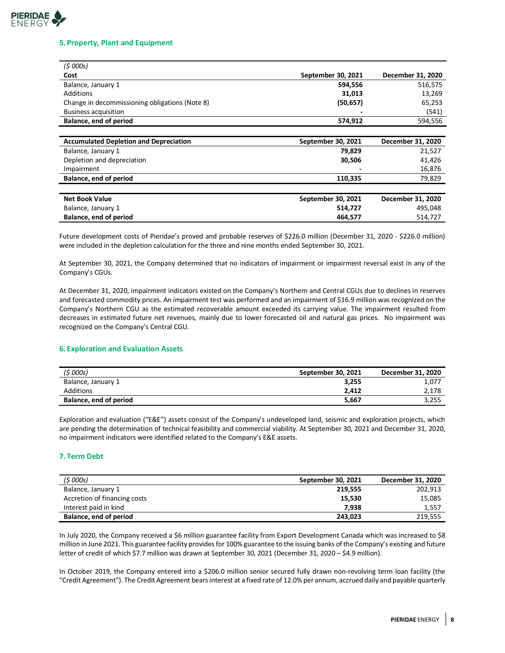# **PIERIDAE**<br>ENERGY

### **5. Property, Plant and Equipment**

| (5000s)                                        |                    |                   |
|------------------------------------------------|--------------------|-------------------|
| Cost                                           | September 30, 2021 | December 31, 2020 |
| Balance, January 1                             | 594,556            | 516,575           |
| Additions                                      | 31,013             | 13,269            |
| Change in decommissioning obligations (Note 8) | (50, 657)          | 65,253            |
| <b>Business acquisition</b>                    |                    | (541)             |
| Balance, end of period                         | 574,912            | 594,556           |
|                                                |                    |                   |
| <b>Accumulated Depletion and Depreciation</b>  | September 30, 2021 | December 31, 2020 |
| Balance, January 1                             | 79,829             | 21,527            |
| Depletion and depreciation                     | 30,506             | 41,426            |
| Impairment                                     |                    | 16,876            |
| Balance, end of period                         | 110,335            | 79,829            |
|                                                |                    |                   |
| <b>Net Book Value</b>                          | September 30, 2021 | December 31, 2020 |
| Balance, January 1                             | 514,727            | 495,048           |
| Balance, end of period                         | 464,577            | 514,727           |

Future development costs of Pieridae's proved and probable reserves of \$226.0 million (December 31, 2020 - \$226.0 million) were included in the depletion calculation for the three and nine months ended September 30, 2021.

At September 30, 2021, the Company determined that no indicators of impairment or impairment reversal exist in any of the Company's CGUs.

At December 31, 2020, impairment indicators existed on the Company's Northern and Central CGUs due to declines in reserves and forecasted commodity prices. An impairment test was performed and an impairment of \$16.9 million was recognized on the Company's Northern CGU as the estimated recoverable amount exceeded its carrying value. The impairment resulted from decreases in estimated future net revenues, mainly due to lower forecasted oil and natural gas prices. No impairment was recognized on the Company's Central CGU.

## **6. Exploration and Evaluation Assets**

| (\$ 000s)              | September 30, 2021 | December 31, 2020 |
|------------------------|--------------------|-------------------|
| Balance, January 1     | 3.255              | 1,077             |
| Additions              | 2.412              | 2,178             |
| Balance, end of period | 5.667              | 3,255             |

Exploration and evaluation ("E&E") assets consist of the Company's undeveloped land, seismic and exploration projects, which are pending the determination of technical feasibility and commercial viability. At September 30, 2021 and December 31, 2020, no impairment indicators were identified related to the Company's E&E assets.

# **7. Term Debt**

| (5000s)                      | September 30, 2021 | December 31, 2020 |
|------------------------------|--------------------|-------------------|
| Balance, January 1           | 219.555            | 202,913           |
| Accretion of financing costs | 15.530             | 15,085            |
| Interest paid in kind        | 7.938              | 1,557             |
| Balance, end of period       | 243,023            | 219,555           |

In July 2020, the Company received a \$6 million guarantee facility from Export Development Canada which was increased to \$8 million in June 2021. This guarantee facility provides for 100% guarantee to the issuing banks of the Company's existing and future letter of credit of which \$7.7 million was drawn at September 30, 2021 (December 31, 2020 - \$4.9 million).

In October 2019, the Company entered into a \$206.0 million senior secured fully drawn non-revolving term loan facility (the "Credit Agreement"). The Credit Agreement bears interest at a fixed rate of 12.0% per annum, accrued daily and payable quarterly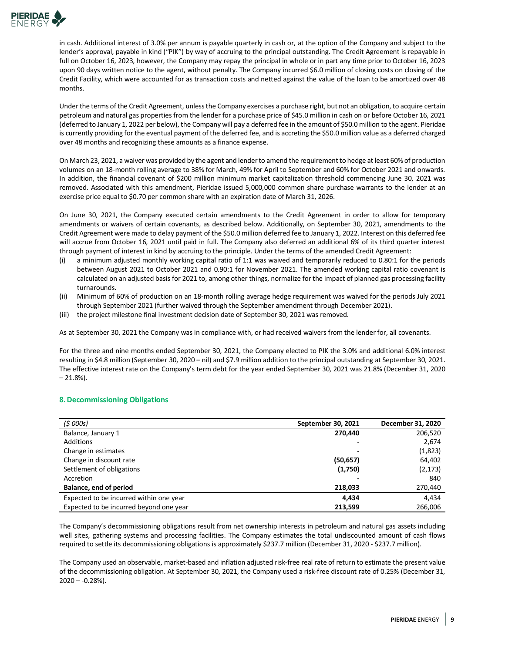

in cash. Additional interest of 3.0% per annum is payable quarterly in cash or, at the option of the Company and subject to the lender's approval, payable in kind ("PIK") by way of accruing to the principal outstanding. The Credit Agreement is repayable in full on October 16, 2023, however, the Company may repay the principal in whole or in part any time prior to October 16, 2023 upon 90 days written notice to the agent, without penalty. The Company incurred \$6.0 million of closing costs on closing of the Credit Facility, which were accounted for as transaction costs and netted against the value of the loan to be amortized over 48 months.

Under the terms of the Credit Agreement, unless the Company exercises a purchase right, but not an obligation, to acquire certain petroleum and natural gas properties from the lender for a purchase price of \$45.0 million in cash on or before October 16, 2021 (deferred to January 1, 2022 per below), the Company will pay a deferred fee in the amount of \$50.0 million to the agent. Pieridae is currently providing for the eventual payment of the deferred fee, and is accreting the \$50.0 million value as a deferred charged over 48 months and recognizing these amounts as a finance expense.

On March 23, 2021, a waiver was provided by the agent and lender to amend the requirement to hedge at least 60% of production volumes on an 18-month rolling average to 38% for March, 49% for April to September and 60% for October 2021 and onwards. In addition, the financial covenant of \$200 million minimum market capitalization threshold commencing June 30, 2021 was removed. Associated with this amendment, Pieridae issued 5,000,000 common share purchase warrants to the lender at an exercise price equal to \$0.70 per common share with an expiration date of March 31, 2026.

On June 30, 2021, the Company executed certain amendments to the Credit Agreement in order to allow for temporary amendments or waivers of certain covenants, as described below. Additionally, on September 30, 2021, amendments to the Credit Agreement were made to delay payment of the \$50.0 million deferred fee to January 1, 2022. Interest on this deferred fee will accrue from October 16, 2021 until paid in full. The Company also deferred an additional 6% of its third quarter interest through payment of interest in kind by accruing to the principle. Under the terms of the amended Credit Agreement:

- a minimum adjusted monthly working capital ratio of 1:1 was waived and temporarily reduced to 0.80:1 for the periods between August 2021 to October 2021 and 0.90:1 for November 2021. The amended working capital ratio covenant is calculated on an adjusted basis for 2021 to, among other things, normalize for the impact of planned gas processing facility turnarounds.
- (ii) Minimum of 60% of production on an 18-month rolling average hedge requirement was waived for the periods July 2021 through September 2021 (further waived through the September amendment through December 2021).
- (iii) the project milestone final investment decision date of September 30, 2021 was removed.

As at September 30, 2021 the Company was in compliance with, or had received waivers from the lender for, all covenants.

For the three and nine months ended September 30, 2021, the Company elected to PIK the 3.0% and additional 6.0% interest resulting in \$4.8 million (September 30, 2020 – nil) and \$7.9 million addition to the principal outstanding at September 30, 2021. The effective interest rate on the Company's term debt for the year ended September 30, 2021 was 21.8% (December 31, 2020  $-21.8%$ ).

## **8.Decommissioning Obligations**

| (5000s)                                 | September 30, 2021 | December 31, 2020 |
|-----------------------------------------|--------------------|-------------------|
| Balance, January 1                      | 270.440            | 206,520           |
| Additions                               |                    | 2,674             |
| Change in estimates                     |                    | (1,823)           |
| Change in discount rate                 | (50, 657)          | 64,402            |
| Settlement of obligations               | (1,750)            | (2, 173)          |
| Accretion                               |                    | 840               |
| Balance, end of period                  | 218.033            | 270,440           |
| Expected to be incurred within one year | 4.434              | 4.434             |
| Expected to be incurred beyond one year | 213.599            | 266.006           |

The Company's decommissioning obligations result from net ownership interests in petroleum and natural gas assets including well sites, gathering systems and processing facilities. The Company estimates the total undiscounted amount of cash flows required to settle its decommissioning obligations is approximately \$237.7 million (December 31, 2020 - \$237.7 million).

The Company used an observable, market-based and inflation adjusted risk-free real rate of return to estimate the present value of the decommissioning obligation. At September 30, 2021, the Company used a risk-free discount rate of 0.25% (December 31,  $2020 - -0.28%$ ).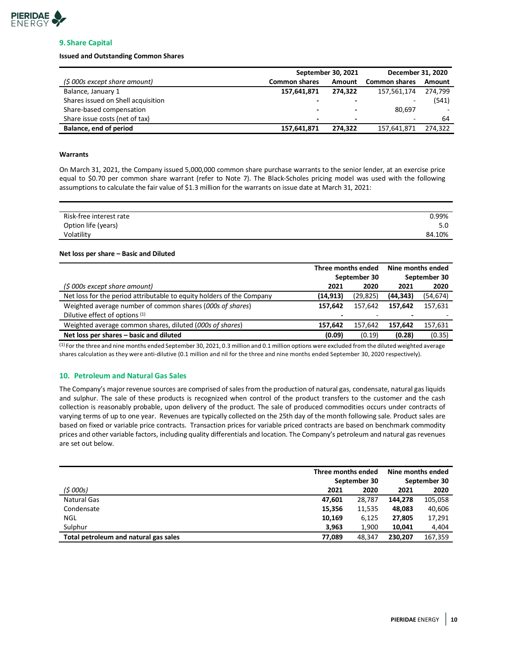

# **9. Share Capital**

#### **Issued and Outstanding Common Shares**

|                                    | September 30, 2021   | December 31, 2020        |                      |         |
|------------------------------------|----------------------|--------------------------|----------------------|---------|
| (\$ 000s except share amount)      | <b>Common shares</b> | Amount                   | <b>Common shares</b> | Amount  |
| Balance, January 1                 | 157,641,871          | 274.322                  | 157,561,174          | 274.799 |
| Shares issued on Shell acquisition |                      |                          |                      | (541)   |
| Share-based compensation           |                      |                          | 80,697               |         |
| Share issue costs (net of tax)     |                      | $\overline{\phantom{0}}$ | -                    | 64      |
| Balance, end of period             | 157,641,871          | 274.322                  | 157,641,871          | 274.322 |

#### **Warrants**

On March 31, 2021, the Company issued 5,000,000 common share purchase warrants to the senior lender, at an exercise price equal to \$0.70 per common share warrant (refer to Note 7). The Black-Scholes pricing model was used with the following assumptions to calculate the fair value of \$1.3 million for the warrants on issue date at March 31, 2021:

| Risk-free interest rate | 0.99%  |
|-------------------------|--------|
| Option life (years)     | 5.0    |
| Volatility              | 84.10% |

#### **Net loss per share – Basic and Diluted**

|                                                                       | Three months ended<br>September 30 |           | Nine months ended<br>September 30 |           |
|-----------------------------------------------------------------------|------------------------------------|-----------|-----------------------------------|-----------|
| (\$ 000s except share amount)                                         | 2021                               | 2020      | 2021                              | 2020      |
| Net loss for the period attributable to equity holders of the Company | (14, 913)                          | (29, 825) | (44, 343)                         | (54, 674) |
| Weighted average number of common shares (000s of shares)             | 157.642                            | 157.642   | 157.642                           | 157,631   |
| Dilutive effect of options (1)                                        |                                    |           |                                   |           |
| Weighted average common shares, diluted (000s of shares)              | 157.642                            | 157.642   | 157.642                           | 157,631   |
| Net loss per shares - basic and diluted                               | (0.09)                             | (0.19)    | (0.28)                            | (0.35)    |

 $<sup>(1)</sup>$  For the three and nine months ended September 30, 2021, 0.3 million and 0.1 million options were excluded from the diluted weighted average</sup> shares calculation as they were anti-dilutive (0.1 million and nil for the three and nine months ended September 30, 2020 respectively).

# **10. Petroleum and Natural Gas Sales**

The Company's major revenue sources are comprised of sales from the production of natural gas, condensate, natural gas liquids and sulphur. The sale of these products is recognized when control of the product transfers to the customer and the cash collection is reasonably probable, upon delivery of the product. The sale of produced commodities occurs under contracts of varying terms of up to one year. Revenues are typically collected on the 25th day of the month following sale. Product sales are based on fixed or variable price contracts. Transaction prices for variable priced contracts are based on benchmark commodity prices and other variable factors, including quality differentials and location. The Company's petroleum and natural gas revenues are set out below.

|                                       | Three months ended |        | Nine months ended |              |
|---------------------------------------|--------------------|--------|-------------------|--------------|
|                                       | September 30       |        |                   | September 30 |
| (\$ 000s)                             | 2021               | 2020   | 2021              | 2020         |
| <b>Natural Gas</b>                    | 47.601             | 28.787 | 144.278           | 105,058      |
| Condensate                            | 15,356             | 11.535 | 48,083            | 40,606       |
| NGL                                   | 10,169             | 6,125  | 27,805            | 17,291       |
| Sulphur                               | 3.963              | 1,900  | 10.041            | 4.404        |
| Total petroleum and natural gas sales | 77.089             | 48.347 | 230.207           | 167.359      |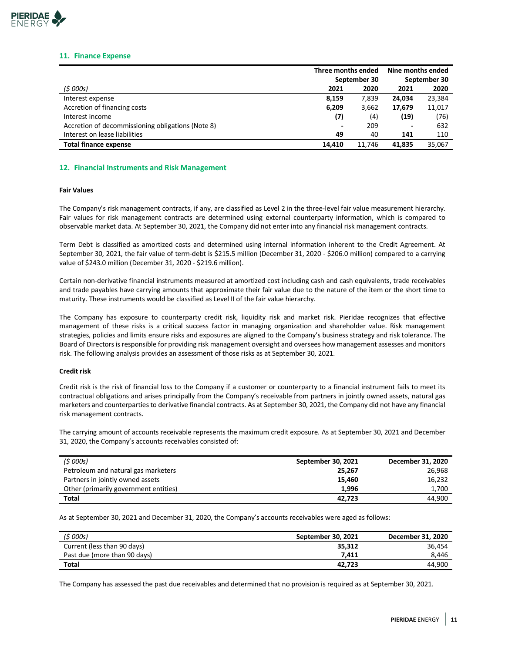

#### **11. Finance Expense**

|                                                   | Three months ended |        | Nine months ended |        |
|---------------------------------------------------|--------------------|--------|-------------------|--------|
|                                                   | September 30       |        | September 30      |        |
| (\$ 000s)                                         | 2021               | 2020   | 2021              | 2020   |
| Interest expense                                  | 8,159              | 7,839  | 24,034            | 23,384 |
| Accretion of financing costs                      | 6,209              | 3,662  | 17,679            | 11,017 |
| Interest income                                   | (7)                | (4)    | (19)              | (76)   |
| Accretion of decommissioning obligations (Note 8) |                    | 209    | -                 | 632    |
| Interest on lease liabilities                     | 49                 | 40     | 141               | 110    |
| <b>Total finance expense</b>                      | 14.410             | 11.746 | 41.835            | 35,067 |

#### **12. Financial Instruments and Risk Management**

#### **Fair Values**

The Company's risk management contracts, if any, are classified as Level 2 in the three-level fair value measurement hierarchy. Fair values for risk management contracts are determined using external counterparty information, which is compared to observable market data. At September 30, 2021, the Company did not enter into any financial risk management contracts.

Term Debt is classified as amortized costs and determined using internal information inherent to the Credit Agreement. At September 30, 2021, the fair value of term-debt is \$215.5 million (December 31, 2020 - \$206.0 million) compared to a carrying value of \$243.0 million (December 31, 2020 - \$219.6 million).

Certain non-derivative financial instruments measured at amortized cost including cash and cash equivalents, trade receivables and trade payables have carrying amounts that approximate their fair value due to the nature of the item or the short time to maturity. These instruments would be classified as Level II of the fair value hierarchy.

The Company has exposure to counterparty credit risk, liquidity risk and market risk. Pieridae recognizes that effective management of these risks is a critical success factor in managing organization and shareholder value. Risk management strategies, policies and limits ensure risks and exposures are aligned to the Company's business strategy and risk tolerance. The Board of Directors is responsible for providing risk management oversight and oversees how management assesses and monitors risk. The following analysis provides an assessment of those risks as at September 30, 2021.

#### **Credit risk**

Credit risk is the risk of financial loss to the Company if a customer or counterparty to a financial instrument fails to meet its contractual obligations and arises principally from the Company's receivable from partners in jointly owned assets, natural gas marketers and counterparties to derivative financial contracts. As at September 30, 2021, the Company did not have any financial risk management contracts.

The carrying amount of accounts receivable represents the maximum credit exposure. As at September 30, 2021 and December 31, 2020, the Company's accounts receivables consisted of:

| (\$ 000s)                             | September 30, 2021 | December 31, 2020 |
|---------------------------------------|--------------------|-------------------|
| Petroleum and natural gas marketers   | 25.267             | 26,968            |
| Partners in jointly owned assets      | 15.460             | 16,232            |
| Other (primarily government entities) | 1.996              | 1,700             |
| Total                                 | 42.723             | 44.900            |

As at September 30, 2021 and December 31, 2020, the Company's accounts receivables were aged as follows:

| (\$ 000s)                    | September 30, 2021 | December 31, 2020 |
|------------------------------|--------------------|-------------------|
| Current (less than 90 days)  | 35.312             | 36.454            |
| Past due (more than 90 days) | 7.411              | 8.446             |
| <b>Total</b>                 | 42.723             | 44.900            |

The Company has assessed the past due receivables and determined that no provision is required as at September 30, 2021.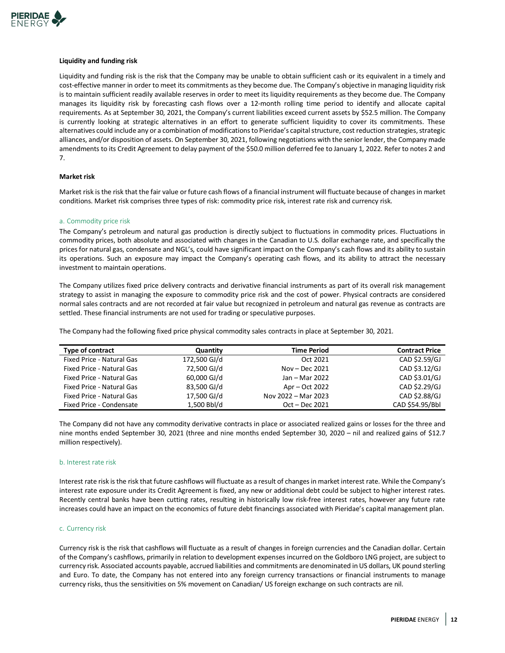

#### **Liquidity and funding risk**

Liquidity and funding risk is the risk that the Company may be unable to obtain sufficient cash or its equivalent in a timely and cost-effective manner in order to meet its commitments as they become due. The Company's objective in managing liquidity risk is to maintain sufficient readily available reserves in order to meet its liquidity requirements as they become due. The Company manages its liquidity risk by forecasting cash flows over a 12-month rolling time period to identify and allocate capital requirements. As at September 30, 2021, the Company's current liabilities exceed current assets by \$52.5 million. The Company is currently looking at strategic alternatives in an effort to generate sufficient liquidity to cover its commitments. These alternatives could include any or a combination of modifications to Pieridae's capital structure, cost reduction strategies, strategic alliances, and/or disposition of assets. On September 30, 2021, following negotiations with the senior lender, the Company made amendments to its Credit Agreement to delay payment of the \$50.0 million deferred fee to January 1, 2022. Refer to notes 2 and 7.

#### **Market risk**

Market risk is the risk that the fair value or future cash flows of a financial instrument will fluctuate because of changes in market conditions. Market risk comprises three types of risk: commodity price risk, interest rate risk and currency risk.

#### a. Commodity price risk

The Company's petroleum and natural gas production is directly subject to fluctuations in commodity prices. Fluctuations in commodity prices, both absolute and associated with changes in the Canadian to U.S. dollar exchange rate, and specifically the prices for natural gas, condensate and NGL's, could have significant impact on the Company's cash flows and its ability to sustain its operations. Such an exposure may impact the Company's operating cash flows, and its ability to attract the necessary investment to maintain operations.

The Company utilizes fixed price delivery contracts and derivative financial instruments as part of its overall risk management strategy to assist in managing the exposure to commodity price risk and the cost of power. Physical contracts are considered normal sales contracts and are not recorded at fair value but recognized in petroleum and natural gas revenue as contracts are settled. These financial instruments are not used for trading or speculative purposes.

The Company had the following fixed price physical commodity sales contracts in place at September 30, 2021.

| <b>Type of contract</b>   | Quantity     | <b>Time Period</b>  | <b>Contract Price</b> |
|---------------------------|--------------|---------------------|-----------------------|
| Fixed Price - Natural Gas | 172,500 GJ/d | Oct 2021            | CAD \$2.59/GJ         |
| Fixed Price - Natural Gas | 72,500 GJ/d  | Nov – Dec $2021$    | CAD \$3.12/GJ         |
| Fixed Price - Natural Gas | 60,000 GJ/d  | Jan – Mar 2022      | CAD \$3.01/GJ         |
| Fixed Price - Natural Gas | 83,500 GJ/d  | Apr – Oct 2022      | CAD \$2.29/GJ         |
| Fixed Price - Natural Gas | 17,500 GJ/d  | Nov 2022 - Mar 2023 | CAD \$2.88/GJ         |
| Fixed Price - Condensate  | 1.500 Bbl/d  | $Oct - Dec 2021$    | CAD \$54.95/Bbl       |

The Company did not have any commodity derivative contracts in place or associated realized gains or losses for the three and nine months ended September 30, 2021 (three and nine months ended September 30, 2020 – nil and realized gains of \$12.7 million respectively).

#### b. Interest rate risk

Interest rate risk is the risk that future cashflows will fluctuate as a result of changes in market interest rate. While the Company's interest rate exposure under its Credit Agreement is fixed, any new or additional debt could be subject to higher interest rates. Recently central banks have been cutting rates, resulting in historically low risk-free interest rates, however any future rate increases could have an impact on the economics of future debt financings associated with Pieridae's capital management plan.

#### c. Currency risk

Currency risk is the risk that cashflows will fluctuate as a result of changes in foreign currencies and the Canadian dollar. Certain of the Company's cashflows, primarily in relation to development expenses incurred on the Goldboro LNG project, are subject to currency risk. Associated accounts payable, accrued liabilities and commitments are denominated in US dollars, UK pound sterling and Euro. To date, the Company has not entered into any foreign currency transactions or financial instruments to manage currency risks, thus the sensitivities on 5% movement on Canadian/ US foreign exchange on such contracts are nil.